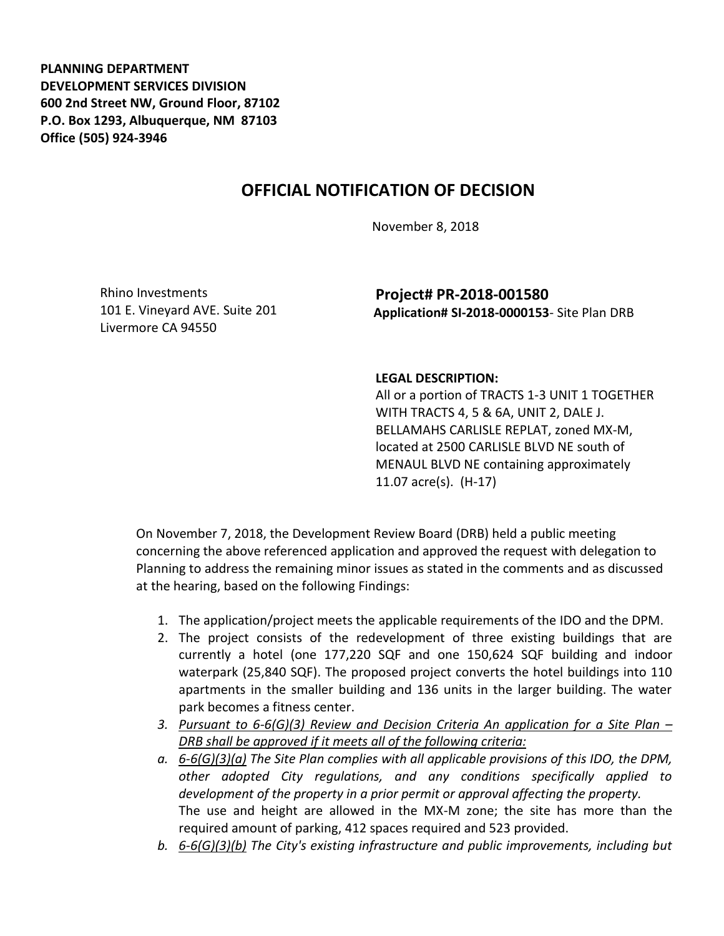**PLANNING DEPARTMENT DEVELOPMENT SERVICES DIVISION 600 2nd Street NW, Ground Floor, 87102 P.O. Box 1293, Albuquerque, NM 87103 Office (505) 924-3946** 

## **OFFICIAL NOTIFICATION OF DECISION**

November 8, 2018

Rhino Investments 101 E. Vineyard AVE. Suite 201 Livermore CA 94550

**Project# PR-2018-001580 Application# SI-2018-0000153**- Site Plan DRB

## **LEGAL DESCRIPTION:**

All or a portion of TRACTS 1-3 UNIT 1 TOGETHER WITH TRACTS 4, 5 & 6A, UNIT 2, DALE J. BELLAMAHS CARLISLE REPLAT, zoned MX-M, located at 2500 CARLISLE BLVD NE south of MENAUL BLVD NE containing approximately 11.07 acre(s). (H-17)

On November 7, 2018, the Development Review Board (DRB) held a public meeting concerning the above referenced application and approved the request with delegation to Planning to address the remaining minor issues as stated in the comments and as discussed at the hearing, based on the following Findings:

- 1. The application/project meets the applicable requirements of the IDO and the DPM.
- 2. The project consists of the redevelopment of three existing buildings that are currently a hotel (one 177,220 SQF and one 150,624 SQF building and indoor waterpark (25,840 SQF). The proposed project converts the hotel buildings into 110 apartments in the smaller building and 136 units in the larger building. The water park becomes a fitness center.
- *3. Pursuant to 6-6(G)(3) Review and Decision Criteria An application for a Site Plan – DRB shall be approved if it meets all of the following criteria:*
- *a. 6-6(G)(3)(a) The Site Plan complies with all applicable provisions of this IDO, the DPM, other adopted City regulations, and any conditions specifically applied to development of the property in a prior permit or approval affecting the property.*  The use and height are allowed in the MX-M zone; the site has more than the required amount of parking, 412 spaces required and 523 provided.
- *b. 6-6(G)(3)(b) The City's existing infrastructure and public improvements, including but*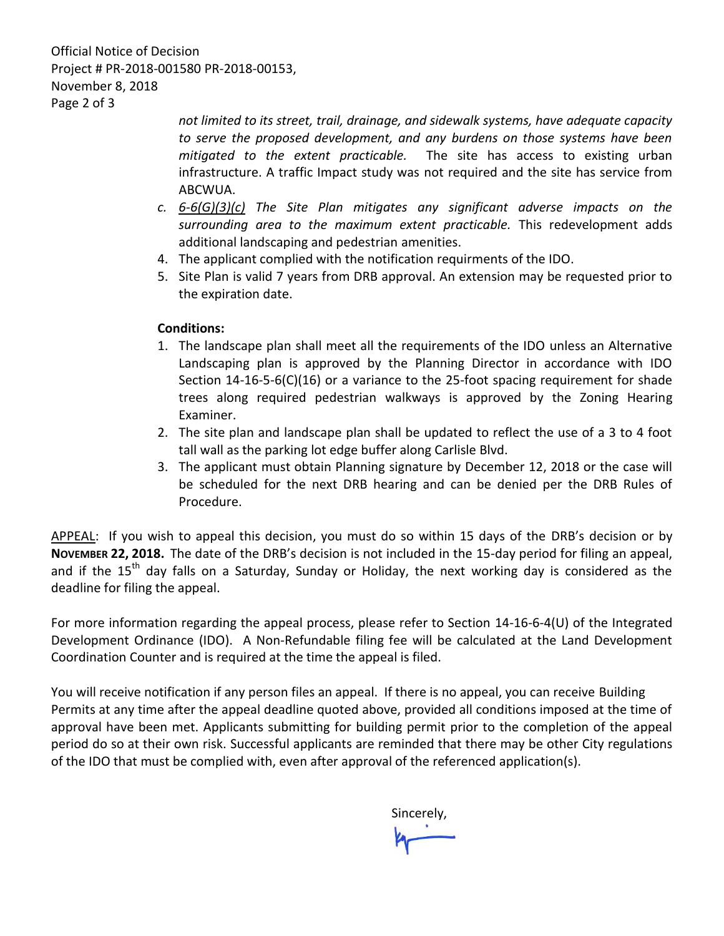Official Notice of Decision Project # PR-2018-001580 PR-2018-00153, November 8, 2018 Page 2 of 3

> *not limited to its street, trail, drainage, and sidewalk systems, have adequate capacity to serve the proposed development, and any burdens on those systems have been mitigated to the extent practicable.* The site has access to existing urban infrastructure. A traffic Impact study was not required and the site has service from ABCWUA.

- *c. 6-6(G)(3)(c) The Site Plan mitigates any significant adverse impacts on the surrounding area to the maximum extent practicable.* This redevelopment adds additional landscaping and pedestrian amenities.
- 4. The applicant complied with the notification requirments of the IDO.
- 5. Site Plan is valid 7 years from DRB approval. An extension may be requested prior to the expiration date.

## **Conditions:**

- 1. The landscape plan shall meet all the requirements of the IDO unless an Alternative Landscaping plan is approved by the Planning Director in accordance with IDO Section 14-16-5-6(C)(16) or a variance to the 25-foot spacing requirement for shade trees along required pedestrian walkways is approved by the Zoning Hearing Examiner.
- 2. The site plan and landscape plan shall be updated to reflect the use of a 3 to 4 foot tall wall as the parking lot edge buffer along Carlisle Blvd.
- 3. The applicant must obtain Planning signature by December 12, 2018 or the case will be scheduled for the next DRB hearing and can be denied per the DRB Rules of Procedure.

APPEAL: If you wish to appeal this decision, you must do so within 15 days of the DRB's decision or by **NOVEMBER 22, 2018.** The date of the DRB's decision is not included in the 15-day period for filing an appeal, and if the  $15<sup>th</sup>$  day falls on a Saturday, Sunday or Holiday, the next working day is considered as the deadline for filing the appeal.

For more information regarding the appeal process, please refer to Section 14-16-6-4(U) of the Integrated Development Ordinance (IDO). A Non-Refundable filing fee will be calculated at the Land Development Coordination Counter and is required at the time the appeal is filed.

You will receive notification if any person files an appeal. If there is no appeal, you can receive Building Permits at any time after the appeal deadline quoted above, provided all conditions imposed at the time of approval have been met. Applicants submitting for building permit prior to the completion of the appeal period do so at their own risk. Successful applicants are reminded that there may be other City regulations of the IDO that must be complied with, even after approval of the referenced application(s).

Sincerely,